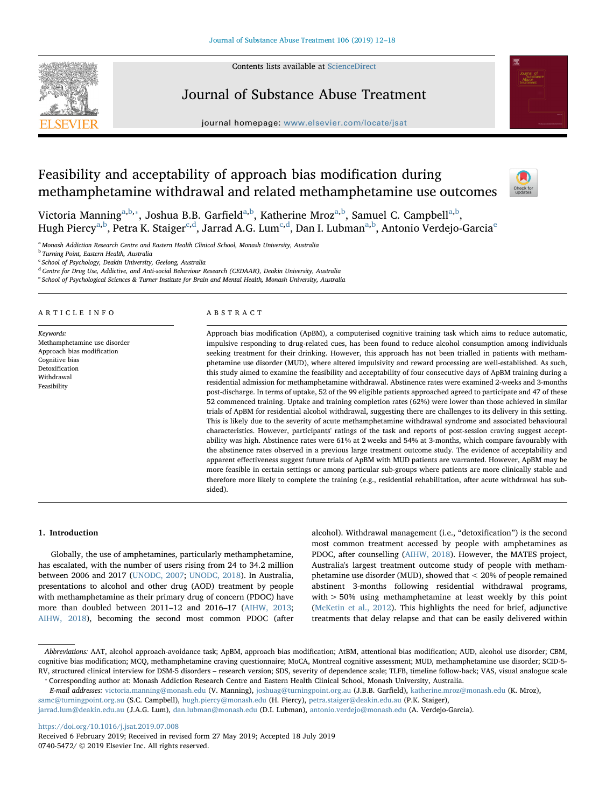Contents lists available at [ScienceDirect](http://www.sciencedirect.com/science/journal/07405472)



# Journal of Substance Abuse Treatment



journal homepage: [www.elsevier.com/locate/jsat](https://www.elsevier.com/locate/jsat)

# Feasibility and acceptability of approach bias modification during methamphetamine withdrawal and related methamphetamine use outcomes



Victoria Manning<sup>[a,](#page-0-0)[b](#page-0-1),</sup>\*, Joshu[a](#page-0-0) B.B. Garfield<sup>a[,b](#page-0-1)</sup>, Katherine Mroz<sup>a,b</sup>, Samuel C. Campbell<sup>a,b</sup>, Hugh Piercy<sup>[a,](#page-0-0)[b](#page-0-1)</sup>, Petra K. Staiger<sup>[c](#page-0-3),[d](#page-0-4)</sup>, Jarrad A.G. Lum<sup>[c,](#page-0-3)d</sup>, Dan I. Lubman<sup>a,b</sup>, Antonio V[e](#page-0-5)rdejo-Garcia<sup>e</sup>

<span id="page-0-0"></span><sup>a</sup> Monash Addiction Research Centre and Eastern Health Clinical School, Monash University, Australia

<span id="page-0-1"></span>**b** Turning Point, Eastern Health, Australia

<span id="page-0-3"></span> $c$  School of Psychology, Deakin University, Geelong, Australia

<span id="page-0-4"></span><sup>d</sup> Centre for Drug Use, Addictive, and Anti-social Behaviour Research (CEDAAR), Deakin University, Australia

<span id="page-0-5"></span><sup>e</sup> School of Psychological Sciences & Turner Institute for Brain and Mental Health, Monash University, Australia

#### ARTICLE INFO

Keywords: Methamphetamine use disorder Approach bias modification Cognitive bias Detoxification Withdrawal Feasibility

# ABSTRACT

Approach bias modification (ApBM), a computerised cognitive training task which aims to reduce automatic, impulsive responding to drug-related cues, has been found to reduce alcohol consumption among individuals seeking treatment for their drinking. However, this approach has not been trialled in patients with methamphetamine use disorder (MUD), where altered impulsivity and reward processing are well-established. As such, this study aimed to examine the feasibility and acceptability of four consecutive days of ApBM training during a residential admission for methamphetamine withdrawal. Abstinence rates were examined 2-weeks and 3-months post-discharge. In terms of uptake, 52 of the 99 eligible patients approached agreed to participate and 47 of these 52 commenced training. Uptake and training completion rates (62%) were lower than those achieved in similar trials of ApBM for residential alcohol withdrawal, suggesting there are challenges to its delivery in this setting. This is likely due to the severity of acute methamphetamine withdrawal syndrome and associated behavioural characteristics. However, participants' ratings of the task and reports of post-session craving suggest acceptability was high. Abstinence rates were 61% at 2 weeks and 54% at 3-months, which compare favourably with the abstinence rates observed in a previous large treatment outcome study. The evidence of acceptability and apparent effectiveness suggest future trials of ApBM with MUD patients are warranted. However, ApBM may be more feasible in certain settings or among particular sub-groups where patients are more clinically stable and therefore more likely to complete the training (e.g., residential rehabilitation, after acute withdrawal has subsided).

## 1. Introduction

Globally, the use of amphetamines, particularly methamphetamine, has escalated, with the number of users rising from 24 to 34.2 million between 2006 and 2017 [\(UNODC, 2007](#page-6-0); [UNODC, 2018\)](#page-6-1). In Australia, presentations to alcohol and other drug (AOD) treatment by people with methamphetamine as their primary drug of concern (PDOC) have more than doubled between 2011–12 and 2016–17 [\(AIHW, 2013](#page-6-2); [AIHW, 2018\)](#page-6-3), becoming the second most common PDOC (after

alcohol). Withdrawal management (i.e., "detoxification") is the second most common treatment accessed by people with amphetamines as PDOC, after counselling [\(AIHW, 2018\)](#page-6-3). However, the MATES project, Australia's largest treatment outcome study of people with methamphetamine use disorder (MUD), showed that < 20% of people remained abstinent 3-months following residential withdrawal programs, with > 50% using methamphetamine at least weekly by this point ([McKetin et al., 2012\)](#page-6-4). This highlights the need for brief, adjunctive treatments that delay relapse and that can be easily delivered within

<https://doi.org/10.1016/j.jsat.2019.07.008>

Abbreviations: AAT, alcohol approach-avoidance task; ApBM, approach bias modification; AtBM, attentional bias modification; AUD, alcohol use disorder; CBM, cognitive bias modification; MCQ, methamphetamine craving questionnaire; MoCA, Montreal cognitive assessment; MUD, methamphetamine use disorder; SCID-5- RV, structured clinical interview for DSM-5 disorders – research version; SDS, severity of dependence scale; TLFB, timeline follow-back; VAS, visual analogue scale ⁎ Corresponding author at: Monash Addiction Research Centre and Eastern Health Clinical School, Monash University, Australia.

<span id="page-0-2"></span>E-mail addresses: [victoria.manning@monash.edu](mailto:victoria.manning@monash.edu) (V. Manning), [joshuag@turningpoint.org.au](mailto:joshuag@turningpoint.org.au) (J.B.B. Garfield), [katherine.mroz@monash.edu](mailto:katherine.mroz@monash.edu) (K. Mroz), [samc@turningpoint.org.au](mailto:samc@turningpoint.org.au) (S.C. Campbell), [hugh.piercy@monash.edu](mailto:hugh.piercy@monash.edu) (H. Piercy), [petra.staiger@deakin.edu.au](mailto:petra.staiger@deakin.edu.au) (P.K. Staiger),

[jarrad.lum@deakin.edu.au](mailto:jarrad.lum@deakin.edu.au) (J.A.G. Lum), [dan.lubman@monash.edu](mailto:dan.lubman@monash.edu) (D.I. Lubman), [antonio.verdejo@monash.edu](mailto:antonio.verdejo@monash.edu) (A. Verdejo-Garcia).

Received 6 February 2019; Received in revised form 27 May 2019; Accepted 18 July 2019 0740-5472/ © 2019 Elsevier Inc. All rights reserved.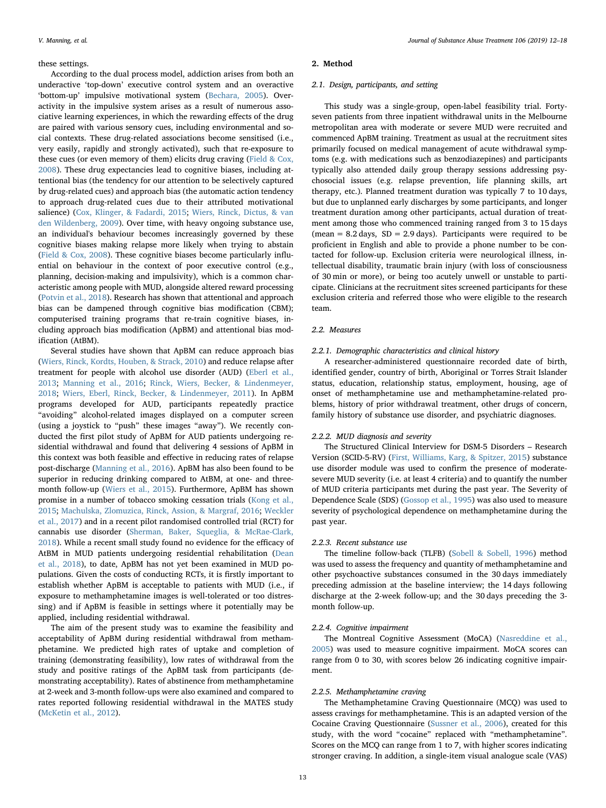#### these settings.

According to the dual process model, addiction arises from both an underactive 'top-down' executive control system and an overactive 'bottom-up' impulsive motivational system [\(Bechara, 2005\)](#page-6-5). Overactivity in the impulsive system arises as a result of numerous associative learning experiences, in which the rewarding effects of the drug are paired with various sensory cues, including environmental and social contexts. These drug-related associations become sensitised (i.e., very easily, rapidly and strongly activated), such that re-exposure to these cues (or even memory of them) elicits drug craving [\(Field & Cox,](#page-6-6) [2008\)](#page-6-6). These drug expectancies lead to cognitive biases, including attentional bias (the tendency for our attention to be selectively captured by drug-related cues) and approach bias (the automatic action tendency to approach drug-related cues due to their attributed motivational salience) ([Cox, Klinger, & Fadardi, 2015;](#page-6-7) [Wiers, Rinck, Dictus, & van](#page-6-8) [den Wildenberg, 2009\)](#page-6-8). Over time, with heavy ongoing substance use, an individual's behaviour becomes increasingly governed by these cognitive biases making relapse more likely when trying to abstain ([Field & Cox, 2008\)](#page-6-6). These cognitive biases become particularly influential on behaviour in the context of poor executive control (e.g., planning, decision-making and impulsivity), which is a common characteristic among people with MUD, alongside altered reward processing ([Potvin et al., 2018\)](#page-6-9). Research has shown that attentional and approach bias can be dampened through cognitive bias modification (CBM); computerised training programs that re-train cognitive biases, including approach bias modification (ApBM) and attentional bias modification (AtBM).

Several studies have shown that ApBM can reduce approach bias ([Wiers, Rinck, Kordts, Houben, & Strack, 2010\)](#page-6-10) and reduce relapse after treatment for people with alcohol use disorder (AUD) ([Eberl et al.,](#page-6-11) [2013;](#page-6-11) [Manning et al., 2016](#page-6-12); [Rinck, Wiers, Becker, & Lindenmeyer,](#page-6-13) [2018;](#page-6-13) [Wiers, Eberl, Rinck, Becker, & Lindenmeyer, 2011](#page-6-14)). In ApBM programs developed for AUD, participants repeatedly practice "avoiding" alcohol-related images displayed on a computer screen (using a joystick to "push" these images "away"). We recently conducted the first pilot study of ApBM for AUD patients undergoing residential withdrawal and found that delivering 4 sessions of ApBM in this context was both feasible and effective in reducing rates of relapse post-discharge ([Manning et al., 2016](#page-6-12)). ApBM has also been found to be superior in reducing drinking compared to AtBM, at one- and threemonth follow-up [\(Wiers et al., 2015](#page-6-15)). Furthermore, ApBM has shown promise in a number of tobacco smoking cessation trials [\(Kong et al.,](#page-6-16) [2015;](#page-6-16) Machulska, [Zlomuzica, Rinck, Assion, & Margraf, 2016](#page-6-17); [Weckler](#page-6-18) [et al., 2017\)](#page-6-18) and in a recent pilot randomised controlled trial (RCT) for cannabis use disorder [\(Sherman, Baker, Squeglia, & McRae-Clark,](#page-6-19) [2018\)](#page-6-19). While a recent small study found no evidence for the efficacy of AtBM in MUD patients undergoing residential rehabilitation ([Dean](#page-6-20) [et al., 2018\)](#page-6-20), to date, ApBM has not yet been examined in MUD populations. Given the costs of conducting RCTs, it is firstly important to establish whether ApBM is acceptable to patients with MUD (i.e., if exposure to methamphetamine images is well-tolerated or too distressing) and if ApBM is feasible in settings where it potentially may be applied, including residential withdrawal.

The aim of the present study was to examine the feasibility and acceptability of ApBM during residential withdrawal from methamphetamine. We predicted high rates of uptake and completion of training (demonstrating feasibility), low rates of withdrawal from the study and positive ratings of the ApBM task from participants (demonstrating acceptability). Rates of abstinence from methamphetamine at 2-week and 3-month follow-ups were also examined and compared to rates reported following residential withdrawal in the MATES study ([McKetin et al., 2012](#page-6-4)).

#### 2. Method

#### 2.1. Design, participants, and setting

This study was a single-group, open-label feasibility trial. Fortyseven patients from three inpatient withdrawal units in the Melbourne metropolitan area with moderate or severe MUD were recruited and commenced ApBM training. Treatment as usual at the recruitment sites primarily focused on medical management of acute withdrawal symptoms (e.g. with medications such as benzodiazepines) and participants typically also attended daily group therapy sessions addressing psychosocial issues (e.g. relapse prevention, life planning skills, art therapy, etc.). Planned treatment duration was typically 7 to 10 days, but due to unplanned early discharges by some participants, and longer treatment duration among other participants, actual duration of treatment among those who commenced training ranged from 3 to 15 days (mean =  $8.2$  days,  $SD = 2.9$  days). Participants were required to be proficient in English and able to provide a phone number to be contacted for follow-up. Exclusion criteria were neurological illness, intellectual disability, traumatic brain injury (with loss of consciousness of 30 min or more), or being too acutely unwell or unstable to participate. Clinicians at the recruitment sites screened participants for these exclusion criteria and referred those who were eligible to the research team.

#### 2.2. Measures

#### 2.2.1. Demographic characteristics and clinical history

A researcher-administered questionnaire recorded date of birth, identified gender, country of birth, Aboriginal or Torres Strait Islander status, education, relationship status, employment, housing, age of onset of methamphetamine use and methamphetamine-related problems, history of prior withdrawal treatment, other drugs of concern, family history of substance use disorder, and psychiatric diagnoses.

### 2.2.2. MUD diagnosis and severity

The Structured Clinical Interview for DSM-5 Disorders – Research Version (SCID-5-RV) ([First, Williams, Karg, & Spitzer, 2015\)](#page-6-21) substance use disorder module was used to confirm the presence of moderatesevere MUD severity (i.e. at least 4 criteria) and to quantify the number of MUD criteria participants met during the past year. The Severity of Dependence Scale (SDS) ([Gossop et al., 1995\)](#page-6-22) was also used to measure severity of psychological dependence on methamphetamine during the past year.

#### 2.2.3. Recent substance use

The timeline follow-back (TLFB) [\(Sobell & Sobell, 1996](#page-6-23)) method was used to assess the frequency and quantity of methamphetamine and other psychoactive substances consumed in the 30 days immediately preceding admission at the baseline interview; the 14 days following discharge at the 2-week follow-up; and the 30 days preceding the 3 month follow-up.

# 2.2.4. Cognitive impairment

The Montreal Cognitive Assessment (MoCA) [\(Nasreddine et al.,](#page-6-24) [2005\)](#page-6-24) was used to measure cognitive impairment. MoCA scores can range from 0 to 30, with scores below 26 indicating cognitive impairment.

# 2.2.5. Methamphetamine craving

The Methamphetamine Craving Questionnaire (MCQ) was used to assess cravings for methamphetamine. This is an adapted version of the Cocaine Craving Questionnaire ([Sussner et al., 2006\)](#page-6-25), created for this study, with the word "cocaine" replaced with "methamphetamine". Scores on the MCQ can range from 1 to 7, with higher scores indicating stronger craving. In addition, a single-item visual analogue scale (VAS)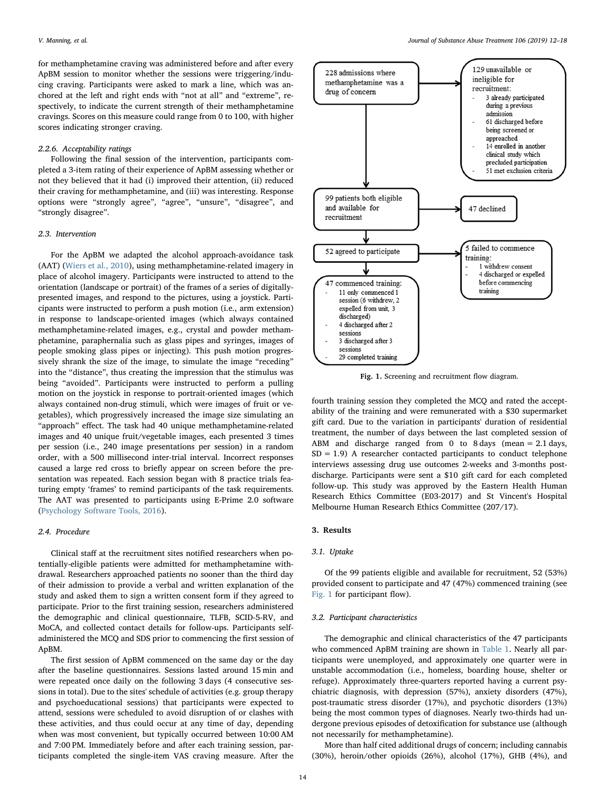for methamphetamine craving was administered before and after every ApBM session to monitor whether the sessions were triggering/inducing craving. Participants were asked to mark a line, which was anchored at the left and right ends with "not at all" and "extreme", respectively, to indicate the current strength of their methamphetamine cravings. Scores on this measure could range from 0 to 100, with higher scores indicating stronger craving.

# 2.2.6. Acceptability ratings

Following the final session of the intervention, participants completed a 3-item rating of their experience of ApBM assessing whether or not they believed that it had (i) improved their attention, (ii) reduced their craving for methamphetamine, and (iii) was interesting. Response options were "strongly agree", "agree", "unsure", "disagree", and "strongly disagree".

# 2.3. Intervention

For the ApBM we adapted the alcohol approach-avoidance task (AAT) [\(Wiers et al., 2010\)](#page-6-10), using methamphetamine-related imagery in place of alcohol imagery. Participants were instructed to attend to the orientation (landscape or portrait) of the frames of a series of digitallypresented images, and respond to the pictures, using a joystick. Participants were instructed to perform a push motion (i.e., arm extension) in response to landscape-oriented images (which always contained methamphetamine-related images, e.g., crystal and powder methamphetamine, paraphernalia such as glass pipes and syringes, images of people smoking glass pipes or injecting). This push motion progressively shrank the size of the image, to simulate the image "receding" into the "distance", thus creating the impression that the stimulus was being "avoided". Participants were instructed to perform a pulling motion on the joystick in response to portrait-oriented images (which always contained non-drug stimuli, which were images of fruit or vegetables), which progressively increased the image size simulating an "approach" effect. The task had 40 unique methamphetamine-related images and 40 unique fruit/vegetable images, each presented 3 times per session (i.e., 240 image presentations per session) in a random order, with a 500 millisecond inter-trial interval. Incorrect responses caused a large red cross to briefly appear on screen before the presentation was repeated. Each session began with 8 practice trials featuring empty 'frames' to remind participants of the task requirements. The AAT was presented to participants using E-Prime 2.0 software ([Psychology Software Tools, 2016\)](#page-6-26).

# 2.4. Procedure

Clinical staff at the recruitment sites notified researchers when potentially-eligible patients were admitted for methamphetamine withdrawal. Researchers approached patients no sooner than the third day of their admission to provide a verbal and written explanation of the study and asked them to sign a written consent form if they agreed to participate. Prior to the first training session, researchers administered the demographic and clinical questionnaire, TLFB, SCID-5-RV, and MoCA, and collected contact details for follow-ups. Participants selfadministered the MCQ and SDS prior to commencing the first session of ApBM.

The first session of ApBM commenced on the same day or the day after the baseline questionnaires. Sessions lasted around 15 min and were repeated once daily on the following 3 days (4 consecutive sessions in total). Due to the sites' schedule of activities (e.g. group therapy and psychoeducational sessions) that participants were expected to attend, sessions were scheduled to avoid disruption of or clashes with these activities, and thus could occur at any time of day, depending when was most convenient, but typically occurred between 10:00 AM and 7:00 PM. Immediately before and after each training session, participants completed the single-item VAS craving measure. After the

<span id="page-2-0"></span>

Fig. 1. Screening and recruitment flow diagram.

fourth training session they completed the MCQ and rated the acceptability of the training and were remunerated with a \$30 supermarket gift card. Due to the variation in participants' duration of residential treatment, the number of days between the last completed session of ABM and discharge ranged from 0 to 8 days (mean  $= 2.1$  days,  $SD = 1.9$ ) A researcher contacted participants to conduct telephone interviews assessing drug use outcomes 2-weeks and 3-months postdischarge. Participants were sent a \$10 gift card for each completed follow-up. This study was approved by the Eastern Health Human Research Ethics Committee (E03-2017) and St Vincent's Hospital Melbourne Human Research Ethics Committee (207/17).

# 3. Results

### 3.1. Uptake

Of the 99 patients eligible and available for recruitment, 52 (53%) provided consent to participate and 47 (47%) commenced training (see [Fig. 1](#page-2-0) for participant flow).

# 3.2. Participant characteristics

The demographic and clinical characteristics of the 47 participants who commenced ApBM training are shown in [Table 1.](#page-3-0) Nearly all participants were unemployed, and approximately one quarter were in unstable accommodation (i.e., homeless, boarding house, shelter or refuge). Approximately three-quarters reported having a current psychiatric diagnosis, with depression (57%), anxiety disorders (47%), post-traumatic stress disorder (17%), and psychotic disorders (13%) being the most common types of diagnoses. Nearly two-thirds had undergone previous episodes of detoxification for substance use (although not necessarily for methamphetamine).

More than half cited additional drugs of concern; including cannabis (30%), heroin/other opioids (26%), alcohol (17%), GHB (4%), and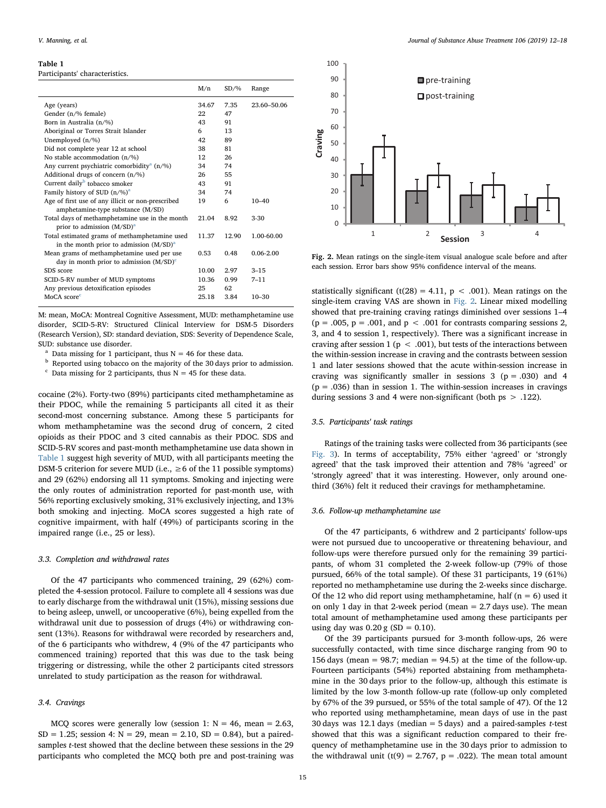#### <span id="page-3-0"></span>Table 1

Participants' characteristics.

|                                                                                            | M/n   | SD/%  | Range         |
|--------------------------------------------------------------------------------------------|-------|-------|---------------|
| Age (years)                                                                                | 34.67 | 7.35  | 23.60-50.06   |
| Gender (n/% female)                                                                        | 22    | 47    |               |
| Born in Australia (n/%)                                                                    | 43    | 91    |               |
| Aboriginal or Torres Strait Islander                                                       | 6     | 13    |               |
| Unemployed (n/%)                                                                           | 42    | 89    |               |
| Did not complete year 12 at school                                                         | 38    | 81    |               |
| No stable accommodation (n/%)                                                              | 12    | 26    |               |
| Any current psychiatric comorbidity <sup>a</sup> (n/%)                                     | 34    | 74    |               |
| Additional drugs of concern (n/%)                                                          | 26    | 55    |               |
| Current daily <sup>b</sup> tobacco smoker                                                  | 43    | 91    |               |
| Family history of SUD $(n/\%)^a$                                                           | 34    | 74    |               |
| Age of first use of any illicit or non-prescribed                                          | 19    | 6     | $10 - 40$     |
| amphetamine-type substance (M/SD)                                                          |       |       |               |
| Total days of methamphetamine use in the month<br>prior to admission (M/SD) <sup>a</sup>   | 21.04 | 8.92  | $3-30$        |
| Total estimated grams of methamphetamine used                                              | 11.37 | 12.90 | 1.00-60.00    |
| in the month prior to admission $(M/SD)^{a}$                                               |       |       |               |
| Mean grams of methamphetamine used per use<br>day in month prior to admission $(M/SD)^{c}$ | 0.53  | 0.48  | $0.06 - 2.00$ |
| SDS score                                                                                  | 10.00 | 2.97  | $3 - 15$      |
| SCID-5-RV number of MUD symptoms                                                           | 10.36 | 0.99  | $7 - 11$      |
| Any previous detoxification episodes                                                       | 25    | 62    |               |
| MoCA score <sup>c</sup>                                                                    | 25.18 | 3.84  | $10 - 30$     |

M: mean, MoCA: Montreal Cognitive Assessment, MUD: methamphetamine use disorder, SCID-5-RV: Structured Clinical Interview for DSM-5 Disorders (Research Version), SD: standard deviation, SDS: Severity of Dependence Scale, SUD: substance use disorder.

<span id="page-3-2"></span><sup>a</sup> Data missing for 1 participant, thus  $N = 46$  for these data.

<span id="page-3-3"></span><sup>b</sup> Reported using tobacco on the majority of the 30 days prior to admission.

<span id="page-3-4"></span> $\degree$  Data missing for 2 participants, thus N = 45 for these data.

cocaine (2%). Forty-two (89%) participants cited methamphetamine as their PDOC, while the remaining 5 participants all cited it as their second-most concerning substance. Among these 5 participants for whom methamphetamine was the second drug of concern, 2 cited opioids as their PDOC and 3 cited cannabis as their PDOC. SDS and SCID-5-RV scores and past-month methamphetamine use data shown in [Table 1](#page-3-0) suggest high severity of MUD, with all participants meeting the DSM-5 criterion for severe MUD (i.e.,  $\geq 6$  of the 11 possible symptoms) and 29 (62%) endorsing all 11 symptoms. Smoking and injecting were the only routes of administration reported for past-month use, with 56% reporting exclusively smoking, 31% exclusively injecting, and 13% both smoking and injecting. MoCA scores suggested a high rate of cognitive impairment, with half (49%) of participants scoring in the impaired range (i.e., 25 or less).

#### 3.3. Completion and withdrawal rates

Of the 47 participants who commenced training, 29 (62%) completed the 4-session protocol. Failure to complete all 4 sessions was due to early discharge from the withdrawal unit (15%), missing sessions due to being asleep, unwell, or uncooperative (6%), being expelled from the withdrawal unit due to possession of drugs (4%) or withdrawing consent (13%). Reasons for withdrawal were recorded by researchers and, of the 6 participants who withdrew, 4 (9% of the 47 participants who commenced training) reported that this was due to the task being triggering or distressing, while the other 2 participants cited stressors unrelated to study participation as the reason for withdrawal.

#### 3.4. Cravings

MCQ scores were generally low (session 1:  $N = 46$ , mean = 2.63,  $SD = 1.25$ ; session 4:  $N = 29$ , mean = 2.10,  $SD = 0.84$ ), but a pairedsamples t-test showed that the decline between these sessions in the 29 participants who completed the MCQ both pre and post-training was

<span id="page-3-1"></span>

Fig. 2. Mean ratings on the single-item visual analogue scale before and after each session. Error bars show 95% confidence interval of the means.

statistically significant (t(28) = 4.11,  $p < .001$ ). Mean ratings on the single-item craving VAS are shown in [Fig. 2.](#page-3-1) Linear mixed modelling showed that pre-training craving ratings diminished over sessions 1–4  $(p = .005, p = .001, and p < .001$  for contrasts comparing sessions 2, 3, and 4 to session 1, respectively). There was a significant increase in craving after session 1 ( $p < .001$ ), but tests of the interactions between the within-session increase in craving and the contrasts between session 1 and later sessions showed that the acute within-session increase in craving was significantly smaller in sessions  $3$  ( $p = .030$ ) and  $4$  $(p = .036)$  than in session 1. The within-session increases in cravings during sessions 3 and 4 were non-significant (both ps > .122).

# 3.5. Participants' task ratings

Ratings of the training tasks were collected from 36 participants (see [Fig. 3\)](#page-4-0). In terms of acceptability, 75% either 'agreed' or 'strongly agreed' that the task improved their attention and 78% 'agreed' or 'strongly agreed' that it was interesting. However, only around onethird (36%) felt it reduced their cravings for methamphetamine.

#### 3.6. Follow-up methamphetamine use

Of the 47 participants, 6 withdrew and 2 participants' follow-ups were not pursued due to uncooperative or threatening behaviour, and follow-ups were therefore pursued only for the remaining 39 participants, of whom 31 completed the 2-week follow-up (79% of those pursued, 66% of the total sample). Of these 31 participants, 19 (61%) reported no methamphetamine use during the 2-weeks since discharge. Of the 12 who did report using methamphetamine, half ( $n = 6$ ) used it on only 1 day in that 2-week period (mean = 2.7 days use). The mean total amount of methamphetamine used among these participants per using day was  $0.20 \text{ g (SD} = 0.10)$ .

Of the 39 participants pursued for 3-month follow-ups, 26 were successfully contacted, with time since discharge ranging from 90 to 156 days (mean = 98.7; median = 94.5) at the time of the follow-up. Fourteen participants (54%) reported abstaining from methamphetamine in the 30 days prior to the follow-up, although this estimate is limited by the low 3-month follow-up rate (follow-up only completed by 67% of the 39 pursued, or 55% of the total sample of 47). Of the 12 who reported using methamphetamine, mean days of use in the past 30 days was 12.1 days (median  $=$  5 days) and a paired-samples *t*-test showed that this was a significant reduction compared to their frequency of methamphetamine use in the 30 days prior to admission to the withdrawal unit (t(9) = 2.767,  $p = .022$ ). The mean total amount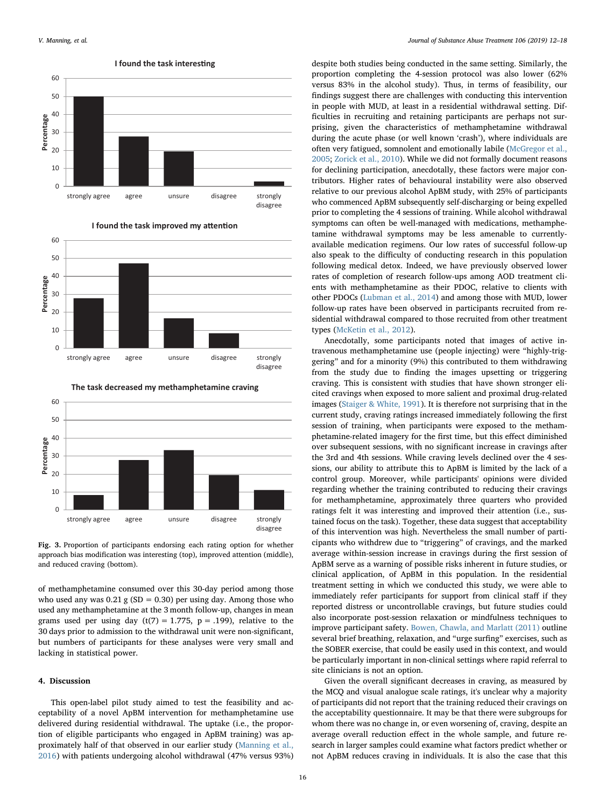<span id="page-4-0"></span>





Fig. 3. Proportion of participants endorsing each rating option for whether approach bias modification was interesting (top), improved attention (middle), and reduced craving (bottom).

of methamphetamine consumed over this 30-day period among those who used any was  $0.21$  g (SD = 0.30) per using day. Among those who used any methamphetamine at the 3 month follow-up, changes in mean grams used per using day (t(7) = 1.775,  $p = .199$ ), relative to the 30 days prior to admission to the withdrawal unit were non-significant, but numbers of participants for these analyses were very small and lacking in statistical power.

## 4. Discussion

This open-label pilot study aimed to test the feasibility and acceptability of a novel ApBM intervention for methamphetamine use delivered during residential withdrawal. The uptake (i.e., the proportion of eligible participants who engaged in ApBM training) was approximately half of that observed in our earlier study ([Manning et al.,](#page-6-12) [2016\)](#page-6-12) with patients undergoing alcohol withdrawal (47% versus 93%) despite both studies being conducted in the same setting. Similarly, the proportion completing the 4-session protocol was also lower (62% versus 83% in the alcohol study). Thus, in terms of feasibility, our findings suggest there are challenges with conducting this intervention in people with MUD, at least in a residential withdrawal setting. Difficulties in recruiting and retaining participants are perhaps not surprising, given the characteristics of methamphetamine withdrawal during the acute phase (or well known 'crash'), where individuals are often very fatigued, somnolent and emotionally labile ([McGregor et al.,](#page-6-27) [2005;](#page-6-27) [Zorick et al., 2010\)](#page-6-28). While we did not formally document reasons for declining participation, anecdotally, these factors were major contributors. Higher rates of behavioural instability were also observed relative to our previous alcohol ApBM study, with 25% of participants who commenced ApBM subsequently self-discharging or being expelled prior to completing the 4 sessions of training. While alcohol withdrawal symptoms can often be well-managed with medications, methamphetamine withdrawal symptoms may be less amenable to currentlyavailable medication regimens. Our low rates of successful follow-up also speak to the difficulty of conducting research in this population following medical detox. Indeed, we have previously observed lower rates of completion of research follow-ups among AOD treatment clients with methamphetamine as their PDOC, relative to clients with other PDOCs [\(Lubman et al., 2014](#page-6-29)) and among those with MUD, lower follow-up rates have been observed in participants recruited from residential withdrawal compared to those recruited from other treatment types ([McKetin et al., 2012](#page-6-4)).

Anecdotally, some participants noted that images of active intravenous methamphetamine use (people injecting) were "highly-triggering" and for a minority (9%) this contributed to them withdrawing from the study due to finding the images upsetting or triggering craving. This is consistent with studies that have shown stronger elicited cravings when exposed to more salient and proximal drug-related images [\(Staiger & White, 1991\)](#page-6-30). It is therefore not surprising that in the current study, craving ratings increased immediately following the first session of training, when participants were exposed to the methamphetamine-related imagery for the first time, but this effect diminished over subsequent sessions, with no significant increase in cravings after the 3rd and 4th sessions. While craving levels declined over the 4 sessions, our ability to attribute this to ApBM is limited by the lack of a control group. Moreover, while participants' opinions were divided regarding whether the training contributed to reducing their cravings for methamphetamine, approximately three quarters who provided ratings felt it was interesting and improved their attention (i.e., sustained focus on the task). Together, these data suggest that acceptability of this intervention was high. Nevertheless the small number of participants who withdrew due to "triggering" of cravings, and the marked average within-session increase in cravings during the first session of ApBM serve as a warning of possible risks inherent in future studies, or clinical application, of ApBM in this population. In the residential treatment setting in which we conducted this study, we were able to immediately refer participants for support from clinical staff if they reported distress or uncontrollable cravings, but future studies could also incorporate post-session relaxation or mindfulness techniques to improve participant safety. [Bowen, Chawla, and Marlatt \(2011\)](#page-6-31) outline several brief breathing, relaxation, and "urge surfing" exercises, such as the SOBER exercise, that could be easily used in this context, and would be particularly important in non-clinical settings where rapid referral to site clinicians is not an option.

Given the overall significant decreases in craving, as measured by the MCQ and visual analogue scale ratings, it's unclear why a majority of participants did not report that the training reduced their cravings on the acceptability questionnaire. It may be that there were subgroups for whom there was no change in, or even worsening of, craving, despite an average overall reduction effect in the whole sample, and future research in larger samples could examine what factors predict whether or not ApBM reduces craving in individuals. It is also the case that this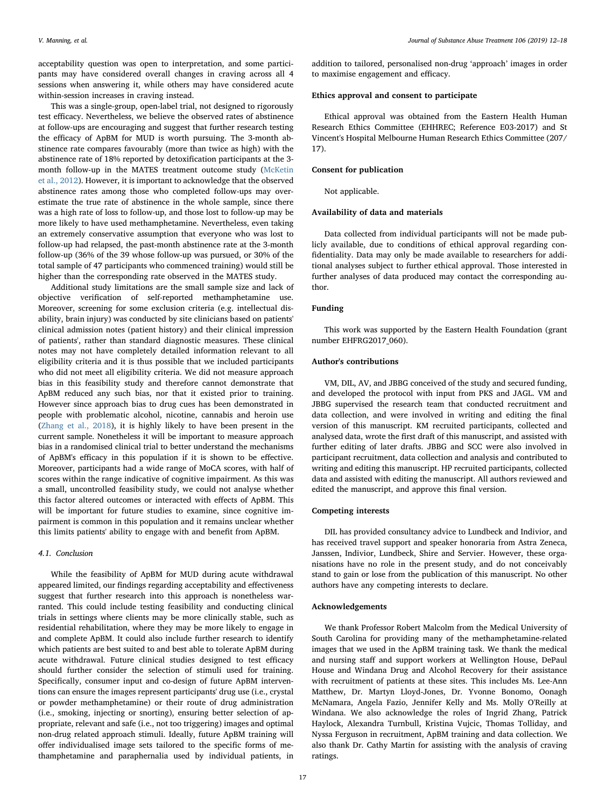acceptability question was open to interpretation, and some participants may have considered overall changes in craving across all 4 sessions when answering it, while others may have considered acute within-session increases in craving instead.

This was a single-group, open-label trial, not designed to rigorously test efficacy. Nevertheless, we believe the observed rates of abstinence at follow-ups are encouraging and suggest that further research testing the efficacy of ApBM for MUD is worth pursuing. The 3-month abstinence rate compares favourably (more than twice as high) with the abstinence rate of 18% reported by detoxification participants at the 3 month follow-up in the MATES treatment outcome study [\(McKetin](#page-6-4) [et al., 2012\)](#page-6-4). However, it is important to acknowledge that the observed abstinence rates among those who completed follow-ups may overestimate the true rate of abstinence in the whole sample, since there was a high rate of loss to follow-up, and those lost to follow-up may be more likely to have used methamphetamine. Nevertheless, even taking an extremely conservative assumption that everyone who was lost to follow-up had relapsed, the past-month abstinence rate at the 3-month follow-up (36% of the 39 whose follow-up was pursued, or 30% of the total sample of 47 participants who commenced training) would still be higher than the corresponding rate observed in the MATES study.

Additional study limitations are the small sample size and lack of objective verification of self-reported methamphetamine use. Moreover, screening for some exclusion criteria (e.g. intellectual disability, brain injury) was conducted by site clinicians based on patients' clinical admission notes (patient history) and their clinical impression of patients', rather than standard diagnostic measures. These clinical notes may not have completely detailed information relevant to all eligibility criteria and it is thus possible that we included participants who did not meet all eligibility criteria. We did not measure approach bias in this feasibility study and therefore cannot demonstrate that ApBM reduced any such bias, nor that it existed prior to training. However since approach bias to drug cues has been demonstrated in people with problematic alcohol, nicotine, cannabis and heroin use ([Zhang et al., 2018](#page-6-32)), it is highly likely to have been present in the current sample. Nonetheless it will be important to measure approach bias in a randomised clinical trial to better understand the mechanisms of ApBM's efficacy in this population if it is shown to be effective. Moreover, participants had a wide range of MoCA scores, with half of scores within the range indicative of cognitive impairment. As this was a small, uncontrolled feasibility study, we could not analyse whether this factor altered outcomes or interacted with effects of ApBM. This will be important for future studies to examine, since cognitive impairment is common in this population and it remains unclear whether this limits patients' ability to engage with and benefit from ApBM.

#### 4.1. Conclusion

While the feasibility of ApBM for MUD during acute withdrawal appeared limited, our findings regarding acceptability and effectiveness suggest that further research into this approach is nonetheless warranted. This could include testing feasibility and conducting clinical trials in settings where clients may be more clinically stable, such as residential rehabilitation, where they may be more likely to engage in and complete ApBM. It could also include further research to identify which patients are best suited to and best able to tolerate ApBM during acute withdrawal. Future clinical studies designed to test efficacy should further consider the selection of stimuli used for training. Specifically, consumer input and co-design of future ApBM interventions can ensure the images represent participants' drug use (i.e., crystal or powder methamphetamine) or their route of drug administration (i.e., smoking, injecting or snorting), ensuring better selection of appropriate, relevant and safe (i.e., not too triggering) images and optimal non-drug related approach stimuli. Ideally, future ApBM training will offer individualised image sets tailored to the specific forms of methamphetamine and paraphernalia used by individual patients, in

addition to tailored, personalised non-drug 'approach' images in order to maximise engagement and efficacy.

# Ethics approval and consent to participate

Ethical approval was obtained from the Eastern Health Human Research Ethics Committee (EHHREC; Reference E03-2017) and St Vincent's Hospital Melbourne Human Research Ethics Committee (207/ 17).

## Consent for publication

Not applicable.

#### Availability of data and materials

Data collected from individual participants will not be made publicly available, due to conditions of ethical approval regarding confidentiality. Data may only be made available to researchers for additional analyses subject to further ethical approval. Those interested in further analyses of data produced may contact the corresponding author.

# Funding

This work was supported by the Eastern Health Foundation (grant number EHFRG2017\_060).

# Author's contributions

VM, DIL, AV, and JBBG conceived of the study and secured funding, and developed the protocol with input from PKS and JAGL. VM and JBBG supervised the research team that conducted recruitment and data collection, and were involved in writing and editing the final version of this manuscript. KM recruited participants, collected and analysed data, wrote the first draft of this manuscript, and assisted with further editing of later drafts. JBBG and SCC were also involved in participant recruitment, data collection and analysis and contributed to writing and editing this manuscript. HP recruited participants, collected data and assisted with editing the manuscript. All authors reviewed and edited the manuscript, and approve this final version.

#### Competing interests

DIL has provided consultancy advice to Lundbeck and Indivior, and has received travel support and speaker honoraria from Astra Zeneca, Janssen, Indivior, Lundbeck, Shire and Servier. However, these organisations have no role in the present study, and do not conceivably stand to gain or lose from the publication of this manuscript. No other authors have any competing interests to declare.

#### Acknowledgements

We thank Professor Robert Malcolm from the Medical University of South Carolina for providing many of the methamphetamine-related images that we used in the ApBM training task. We thank the medical and nursing staff and support workers at Wellington House, DePaul House and Windana Drug and Alcohol Recovery for their assistance with recruitment of patients at these sites. This includes Ms. Lee-Ann Matthew, Dr. Martyn Lloyd-Jones, Dr. Yvonne Bonomo, Oonagh McNamara, Angela Fazio, Jennifer Kelly and Ms. Molly O'Reilly at Windana. We also acknowledge the roles of Ingrid Zhang, Patrick Haylock, Alexandra Turnbull, Kristina Vujcic, Thomas Tolliday, and Nyssa Ferguson in recruitment, ApBM training and data collection. We also thank Dr. Cathy Martin for assisting with the analysis of craving ratings.